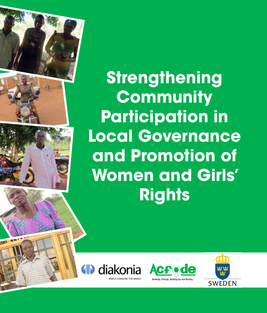



**Strengthening Community Participation in Local Governance and Promotion of Women and Girls' Rights**





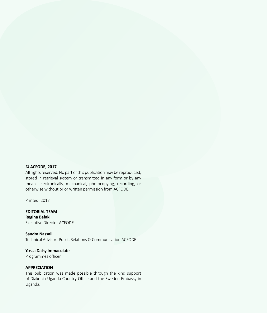#### **© ACFODE, 2017**

All rights reserved. No part of this publication may be reproduced, stored in retrieval system or transmitted in any form or by any means electronically, mechanical, photocopying, recording, or otherwise without prior written permission from ACFODE.

Printed: 2017

**EDITORIAL TEAM Regina Bafaki**  Executive Director ACFODE

**Sandra Nassali** 

Technical Advisor - Public Relations & Communication ACFODE

#### **Yossa Daisy Immaculate**

Programmes officer

#### **APPRECIATION**

This publication was made possible through the kind support of Diakonia Uganda Country Office and the Sweden Embassy in Uganda.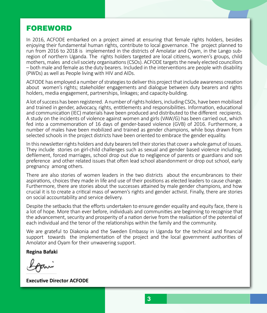## FOREWORD

In 2016, ACFODE embarked on a project aimed at ensuring that female rights holders, besides enjoying their fundamental human rights, contribute to local governance. The project planned to run from 2016 to 2018 is implemented in the districts of Amolatar and Oyam, in the Lango subregion of northern Uganda. The rights holders targeted are local citizens, women's groups, child mothers, males and civil society organisations (CSOs). ACFODE targets the newly elected councillors – both male and female as the duty bearers. Included in the interventions are people with disability (PWDs) as well as People living with HIV and AIDs.

ACFODE has employed a number of strategies to deliver this project that include awareness creation about women's rights; stakeholder engagements and dialogue between duty bearers and rights holders, media engagement, partnerships, linkages; and capacity-building.

A lot of success has been registered. A number of rights holders, including CSOs, have been mobilised and trained in gender, advocacy, rights, entitlements and responsibilities. Information, educational and communication (IEC) materials have been produced and distributed to the different recipients. A study on the incidents of violence against women and girls (VAW/G) has been carried out, which fed into a commemoration of 16 days of gender-based violence (GVB) of 2016. Furthermore, a number of males have been mobilized and trained as gender champions, while boys drawn from selected schools in the project districts have been oriented to embrace the gender equality.

In this newsletter rights holders and duty bearers tell their stories that cover a whole gamut of issues. They include stories on girl-child challenges such as sexual and gender based violence including, defilement, forced marriages, school drop out due to negligence of parents or guardians and son preference and other related issues that often lead school abandonment or drop out school, early pregnancy among others.

There are also stories of women leaders in the two districts about the encumbrances to their aspirations, choices they made in life and use of their positions as elected leaders to cause change. Furthermore, there are stories about the successes attained by male gender champions, and how crucial it is to create a critical mass of women's rights and gender activist. Finally, there are stories on social accountability and service delivery.

Despite the setbacks that the efforts undertaken to ensure gender equality and equity face, there is a lot of hope. More than ever before, individuals and communities are beginning to recognise that the advancement, security and prosperity of a nation derive from the realisation of the potential of each individual and the tenor of the relationships within the family and the community.

We are grateful to Diakonia and the Sweden Embassy in Uganda for the technical and financial support towards the implementation of the project and the local government authorities of Amolator and Oyam for their unwavering support.

#### **Regina Bafaki**

#### **Executive Director ACFODE**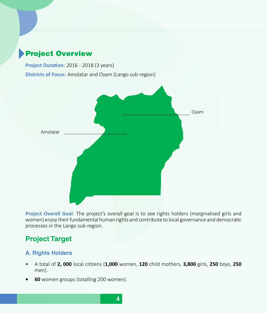# **Project Overview**

**Project Duration**: 2016 - 2018 (3 years)

**Districts of Focus**: Amolatar and Oyam (Lango sub-region)



Project Overall Goal: The project's overall goal is to see rights holders (marginalised girls and women) enjoy their fundamental human rights and contribute to local governance and democratic processes in the Lango sub-region.

# **Project Target**

### **A. Rights Holders**

- A total of **2, 000** local citizens (**1,000** women, **120** child mothers, **3,800** girls, **250** boys, **250** men).
- **• 60** women groups (totalling 200 women).

**4**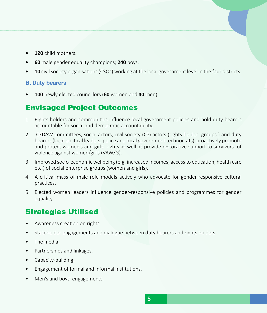- **• 120** child mothers.
- **• 60** male gender equality champions; **240** boys.
- **• 10** civil society organisations (CSOs) working at the local government level in the four districts.

### **B. Duty bearers**

**• 100** newly elected councillors (**60** women and **40** men).

## Envisaged Project Outcomes

- 1. Rights holders and communities influence local government policies and hold duty bearers accountable for social and democratic accountability.
- 2. CEDAW committees, social actors, civil society (CS) actors (rights holder groups ) and duty bearers (local political leaders, police and local government technocrats) proactively promote and protect women's and girls' rights as well as provide restorative support to survivors of violence against women/girls (VAW/G).
- 3. Improved socio-economic wellbeing (e.g. increased incomes, access to education, health care etc.) of social enterprise groups (women and girls).
- 4. A critical mass of male role models actively who advocate for gender-responsive cultural practices.
- 5. Elected women leaders influence gender-responsive policies and programmes for gender equality.

# Strategies Utilised

- Awareness creation on rights.
- Stakeholder engagements and dialogue between duty bearers and rights holders.
- The media.
- Partnerships and linkages.
- Capacity-building.
- Engagement of formal and informal institutions.
- Men's and boys' engagements.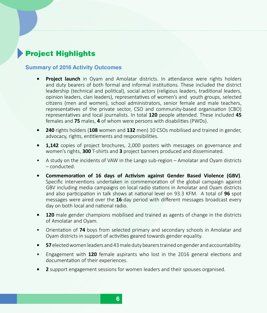# **Project Highlights**

#### **Summary of 2016 Activity Outcomes**

- **• Project launch** in Oyam and Amolatar districts. In attendance were rights holders and duty bearers of both formal and informal institutions. These included the district leadership (technical and political), social actors (religious leaders, traditional leaders, opinion leaders, clan leaders), representatives of women's and youth groups, selected citizens (men and women), school administrators, senior female and male teachers, representatives of the private sector, CSO and community-based organisation (CBO) representatives and local journalists. In total **120** people attended. These included **45** females and **75** males, **4** of whom were persons with disabilities (PWDs).
- **• 240** rights holders (**108** women and **132** men) 10 CSOs mobilised and trained in gender, advocacy, rights, entitlements and responsibilities.
- **• 1,142** copies of project brochures, 2,000 posters with messages on governance and women's rights, **300** T-shirts and **3** project banners produced and disseminated.
- A study on the incidents of VAW in the Lango sub-region Amolatar and Oyam districts – conducted.
- **• Commemoration of 16 days of Activism against Gender Based Violence (GBV)**. Specific interventions undertaken in commemoration of the global campaign against GBV including media campaigns on local radio stations in Amolatar and Oyam districts and also participation in talk shows at national level on 93.3 KFM. A total of **96** spot messages were aired over the **16**-day period with different messages broadcast every day on both local and national radio.
- **• 120** male gender champions mobilised and trained as agents of change in the districts of Amolatar and Oyam.
- Orientation of **74** boys from selected primary and secondary schools in Amolatar and Oyam districts in support of activities geared towards gender equality.
- **• 57** elected women leaders and 43 male duty bearers trained on gender and accountability.
- Engagement with **120** female aspirants who lost in the 2016 general elections and documentation of their experiences.
- **• 2** support engagement sessions for women leaders and their spouses organised.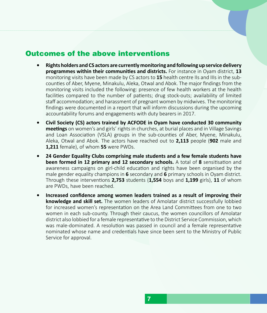## Outcomes of the above interventions

- **• Rights holders and CS actors are currently monitoring and following up service delivery programmes within their communities and districts.** For instance in Oyam district, **13** monitoring visits have been made by CS actors to **15** health centre IIs and IIIs in the subcounties of Aber, Myene, Minakulu, Aleka, Otwal and Abok. The major findings from the monitoring visits included the following: presence of few health workers at the health facilities compared to the number of patients; drug stock-outs; availability of limited staff accommodation; and harassment of pregnant women by midwives. The monitoring findings were documented in a report that will inform discussions during the upcoming accountability forums and engagements with duty bearers in 2017.
- **• Civil Society (CS) actors trained by ACFODE in Oyam have conducted 30 community meetings** on women's and girls' rights in churches, at burial places and in Village Savings and Loan Association (VSLA) groups in the sub-counties of Aber, Myene, Minakulu, Aleka, Otwal and Abok. The actors have reached out to **2,113** people (**902** male and **1,211** female), of whom **55** were PWDs.
- **• 24 Gender Equality Clubs comprising male students and a few female students have been formed in 12 primary and 12 secondary schools.** A total of **8** sensitisation and awareness campaigns on girl-child education and rights have been organised by the male gender equality champions in **6** secondary and **6** primary schools in Oyam district. Through these interventions **2,753** students (**1,554** boys and **1,199** girls), **11** of whom are PWDs, have been reached.
- **• Increased confidence among women leaders trained as a result of improving their knowledge and skill set.** The women leaders of Amolatar district successfully lobbied for increased women's representation on the Area Land Committees from one to two women in each sub-county. Through their caucus, the women councillors of Amolatar district also lobbied for a female representative to the District Service Commission, which was male-dominated. A resolution was passed in council and a female representative nominated whose name and credentials have since been sent to the Ministry of Public Service for approval.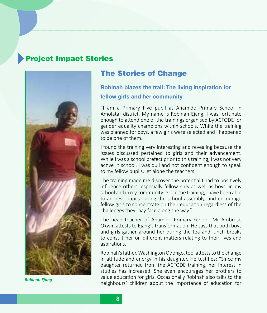## Project Impact Stories



*Robinah Ejang*

## The Stories of Change

**Robinah blazes the trail: The living inspiration for fellow girls and her community**

"I am a Primary Five pupil at Anamido Primary School in Amolatar district. My name is Robinah Ejang. I was fortunate enough to attend one of the trainings organised by ACFODE for gender equality champions within schools. While the training was planned for boys, a few girls were selected and I happened to be one of them.

I found the training very interesting and revealing because the issues discussed pertained to girls and their advancement. While I was a school prefect prior to this training, I was not very active in school. I was dull and not confident enough to speak to my fellow pupils, let alone the teachers.

The training made me discover the potential I had to positively influence others, especially fellow girls as well as boys, in my school and in my community. Since the training, I have been able to address pupils during the school assembly, and encourage fellow girls to concentrate on their education regardless of the challenges they may face along the way."

The head teacher of Anamido Primary School, Mr Ambrose Okwir, attests to Ejang's transformation. He says that both boys and girls gather around her during the tea and lunch breaks to consult her on different matters relating to their lives and aspirations.

Robinah's father, Washington Odongo, too, attests to the change in attitude and energy in his daughter. He testifies: "Since my daughter returned from the ACFODE training, her interest in studies has increased. She even encourages her brothers to value education for girls. Occasionally Robinah also talks to the neighbours' children about the importance of education for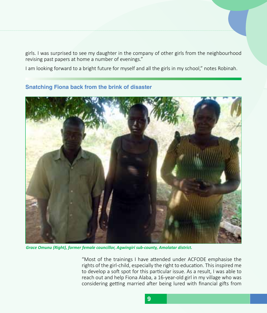girls. I was surprised to see my daughter in the company of other girls from the neighbourhood revising past papers at home a number of evenings."

I am looking forward to a bright future for myself and all the girls in my school," notes Robinah.



#### **Snatching Fiona back from the brink of disaster**

*Grace Omunu (Right), former female councillor, Agwingiri sub-county, Amolatar district.*

"Most of the trainings I have attended under ACFODE emphasise the rights of the girl-child, especially the right to education. This inspired me to develop a soft spot for this particular issue. As a result, I was able to reach out and help Fiona Alaba, a 16-year-old girl in my village who was considering getting married after being lured with financial gifts from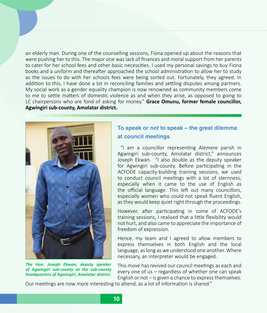an elderly man. During one of the counselling sessions, Fiona opened up about the reasons that were pushing her to this. The major one was lack of finances and moral support from her parents to cater for her school fees and other basic necessities. I used my personal savings to buy Fiona books and a uniform and thereafter approached the school administration to allow her to study as the issues to do with her schools fees were being sorted out. Fortunately, they agreed. In addition to this, I have done a lot in reconciling families and settling disputes among partners. My social work as a gender equality champion is now renowned as community members come to me to settle matters of domestic violence as and when they arise, as opposed to going to LC chairpersons who are fond of asking for money." **Grace Omunu, former female councillor, Agwingiri sub-county, Amolatar district.**



*The Hon. Joseph Ekwan, deputy speaker of Agwingiri sub-county at the sub-county headquarters of Agwingiri, Amolatar district.*

### **To speak or not to speak – the great dilemma at council meetings**

 "I am a councillor representing Alemere parish in Agwingiri sub-county, Amolatar district," announces Joseph Ekwan. "I also double as the deputy speaker for Agwingiri sub-county. Before participating in the ACFODE capacity-building training sessions, we used to conduct council meetings with a lot of sternness; especially when it came to the use of English as the official language. This left out many councillors, especially women who could not speak fluent English, as they would keep quiet right through the proceedings.

However, after participating in some of ACFODE's training sessions, I realised that a little flexibility would not hurt, and also came to appreciate the importance of freedom of expression.

Hence, my team and I agreed to allow members to express themselves in both English and the local language, as long as we understood one another. Where necessary, an interpreter would be engaged.

This move has revived our council meetings as each and every one of us – regardless of whether one can speak English or not – is given a chance to express themselves.

Our meetings are now more interesting to attend, as a lot of information is shared."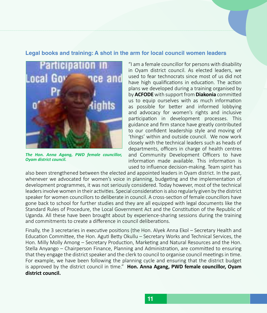#### **Legal books and training: A shot in the arm for local council women leaders**



*The Hon. Anna Agang, PWD female councillor, Oyam district council.*

"I am a female councillor for persons with disability in Oyam district council. As elected leaders, we used to fear technocrats since most of us did not have high qualifications in education. The action plans we developed during a training organised by by **ACFODE** with support from **Diakonia** committed us to equip ourselves with as much information as possible for better and informed lobbying and advocacy for women's rights and inclusive participation in development processes. This guidance and firm stance have greatly contributed to our confident leadership style and moving of 'things' within and outside council. We now work closely with the technical leaders such as heads of departments, officers in charge of health centres and Community Development Officers to have information made available. This information is used to influence decision-making. Team spirit has

also been strengthened between the elected and appointed leaders in Oyam district. In the past, whenever we advocated for women's voice in planning, budgeting and the implementation of development programmes, it was not seriously considered. Today however, most of the technical leaders involve women in their activities. Special consideration is also regularly given by the district speaker for women councillors to deliberate in council. A cross-section of female councillors have gone back to school for further studies and they are all equipped with legal documents like the Standard Rules of Procedure, the Local Government Act and the Constitution of the Republic of Uganda. All these have been brought about by experience-sharing sessions during the training and commitments to create a difference in council deliberations.

Finally, the 3 secretaries in executive positions (the Hon. Alyek Anna Ekol – Secretary Health and Education Committee, the Hon. Aguti Betty Okullu – Secretary Works and Technical Services, the Hon. Milly Molly Among – Secretary Production, Marketing and Natural Resources and the Hon. Stella Anyango – Chairperson Finance, Planning and Administration, are committed to ensuring that they engage the district speaker and the clerk to council to organise council meetings in time. For example, we have been following the planning cycle and ensuring that the district budget is approved by the district council in time." **Hon. Anna Agang, PWD female councillor, Oyam district council.**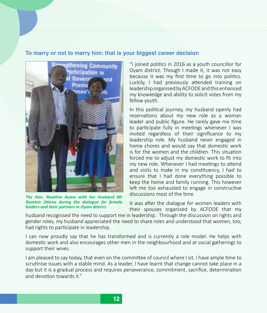### **To marry or not to marry him: that is your biggest career decision**



*The Hon. Roseline Auma with her husband Mr Dominic Otieno during the dialogue for female leaders and their partners in Oyam district.*

"I joined politics in 2016 as a youth councillor for Oyam district. Though I made it, it was not easy because it was my first time to go into politics. Luckily, I had previously attended training on leadership organised by ACFODE and this enhanced my knowledge and ability to solicit votes from my fellow youth.

In this political journey, my husband openly had reservations about my new role as a woman leader and public figure. He rarely gave me time to participate fully in meetings whenever I was invited regardless of their significance to my leadership role. My husband never engaged in home chores and would say that domestic work is for the women and the children. This situation forced me to adjust my domestic work to fit into my new role. Whenever I had meetings to attend and visits to make in my constituency, I had to ensure that I had done everything possible to keep the home and family running. This however left me too exhausted to engage in constructive discussions most of the time.

It was after the dialogue for women leaders with their spouses organised by ACFODE that my

husband recognised the need to support me in leadership. Through the discussion on rights and gender roles, my husband appreciated the need to share roles and understood that women, too, had rights to participate in leadership.

I can now proudly say that he has transformed and is currently a role model. He helps with domestic work and also encourages other men in the neighbourhood and at social gatherings to support their wives.

I am pleased to say today, that even on the committee of council where I sit, I have ample time to scrutinise issues with a stable mind. As a leader, I have learnt that change cannot take place in a day but it is a gradual process and requires perseverance, commitment, sacrifice, determination and devotion towards it."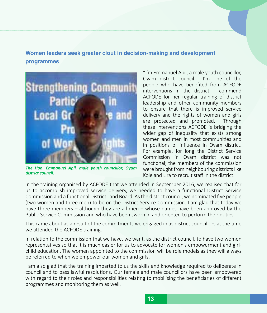## **Women leaders seek greater clout in decision-making and development programmes**



*The Hon. Emmanuel Apil, male youth councillor, Oyam district council.*

"I'm Emmanuel Apil, a male youth councillor, Oyam district council. I'm one of the people who have benefited from ACFODE interventions in the district. I commend ACFODE for her regular training of district leadership and other community members to ensure that there is improved service delivery and the rights of women and girls are protected and promoted. Through these interventions ACFODE is bridging the wider gap of inequality that exists among women and men in most communities and in positions of influence in Oyam district. For example, for long the District Service Commission in Oyam district was not functional; the members of the commission were brought from neighbouring districts like Kole and Lira to recruit staff in the district.

In the training organised by ACFODE that we attended in September 2016, we realised that for us to accomplish improved service delivery, we needed to have a functional District Service Commission and a functional District Land Board. As the district council, we nominated five people (two women and three men) to be on the District Service Commission. I am glad that today we have three members – although they are all men – whose names have been approved by the Public Service Commission and who have been sworn in and oriented to perform their duties.

This came about as a result of the commitments we engaged in as district councillors at the time we attended the ACFODE training.

In relation to the commission that we have, we want, as the district council, to have two women representatives so that it is much easier for us to advocate for women's empowerment and girlchild education. The women appointed to the commission will be role models as they will always be referred to when we empower our women and girls.

I am also glad that the training imparted to us the skills and knowledge required to deliberate in council and to pass lawful resolutions. Our female and male councillors have been empowered with regard to their roles and responsibilities relating to mobilising the beneficiaries of different programmes and monitoring them as well.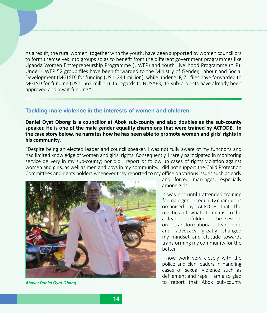As a result, the rural women, together with the youth, have been supported by women councillors to form themselves into groups so as to benefit from the different government programmes like Uganda Women Entrepreneurship Programme (UWEP) and Youth Livelihood Programme (YLP). Under UWEP 52 group files have been forwarded to the Ministry of Gender, Labour and Social Development (MGLSD) for funding (USh. 244 million); while under YLP, 71 files have forwarded to MGLSD for funding (USh. 562 million). In regards to NUSAF3, 15 sub-projects have already been approved and await funding."

#### **Tackling male violence in the interests of women and children**

**Daniel Oyat Obong is a councillor at Abok sub-county and also doubles as the sub-county speaker. He is one of the male gender equality champions that were trained by ACFODE. In the case story below, he narrates how he has been able to promote women and girls' rights in his community.**

"Despite being an elected leader and council speaker, I was not fully aware of my functions and had limited knowledge of women and girls' rights. Consequently, I rarely participated in monitoring service delivery in my sub-county; nor did I report or follow up cases of rights violation against women and girls, as well as men and boys in my community. I did not support the Child Protection Committees and rights holders whenever they reported to my office on various issues such as early



and forced marriages; especially among girls.

It was not until I attended training for male gender equality champions organised by ACFODE that the realities of what it means to be a leader unfolded. The session on transformational leadership and advocacy greatly changed my mindset and attitude towards transforming my community for the better.

I now work very closely with the police and clan leaders in handling cases of sexual violence such as defilement and rape. I am also glad *Above: Daniel Oyat Obong* to report that Abok sub-county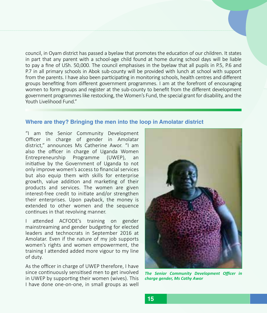council, in Oyam district has passed a byelaw that promotes the education of our children. It states in part that any parent with a school-age child found at home during school days will be liable to pay a fine of USh. 50,000. The council emphasises in the byelaw that all pupils in P.5, P.6 and P.7 in all primary schools in Abok sub-county will be provided with lunch at school with support from the parents. I have also been participating in monitoring schools, health centres and different groups benefiting from different government programmes. I am at the forefront of encouraging women to form groups and register at the sub-county to benefit from the different development government programmes like restocking, the Women's Fund, the special grant for disability, and the Youth Livelihood Fund."

#### **Where are they? Bringing the men into the loop in Amolatar district**

"I am the Senior Community Development Officer in charge of gender in Amolatar district," announces Ms Catherine Awor. "I am also the officer in charge of Uganda Women Entrepreneurship Programme (UWEP), an initiative by the Government of Uganda to not only improve women's access to financial services but also equip them with skills for enterprise growth, value addition and marketing of their products and services. The women are given interest-free credit to initiate and/or strengthen their enterprises. Upon payback, the money is extended to other women and the sequence continues in that revolving manner.

I attended ACFODE's training on gender mainstreaming and gender budgeting for elected leaders and technocrats in September 2016 at Amolatar. Even if the nature of my job supports women's rights and women empowerment, the training I attended added more vigour to my line of duty.

As the officer in charge of UWEP therefore, I have since continuously sensitised men to get involved in UWEP by supporting their women (wives). This I have done one-on-one, in small groups as well



*The Senior Community Development Officer in charge gender, Ms Cathy Awor*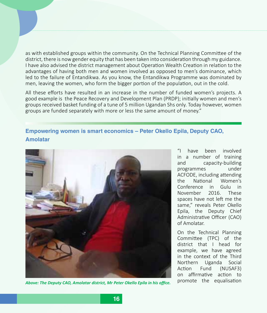as with established groups within the community. On the Technical Planning Committee of the district, there is now gender equity that has been taken into consideration through my guidance. I have also advised the district management about Operation Wealth Creation in relation to the advantages of having both men and women involved as opposed to men's dominance, which led to the failure of Entandikwa. As you know, the Entandikwa Programme was dominated by men, leaving the women, who form the bigger portion of the population, out in the cold.

All these efforts have resulted in an increase in the number of funded women's projects. A good example is the Peace Recovery and Development Plan (PRDP); initially women and men's groups received basket funding of a tune of 5 million Ugandan Shs only. Today however, women groups are funded separately with more or less the same amount of money."

### **Empowering women is smart economics – Peter Okello Epila, Deputy CAO, Amolatar**



promote the equalisation *Above: The Deputy CAO, Amolatar district, Mr Peter Okello Epila in his office.*

"I have been involved in a number of training and capacity-building programmes under ACFODE, including attending the National Women's Conference in Gulu in November 2016. These spaces have not left me the same," reveals Peter Okello Epila, the Deputy Chief Administrative Officer (CAO) of Amolatar.

On the Technical Planning Committee (TPC) of the district that I head for example, we have agreed in the context of the Third Northern Uganda Social Action Fund (NUSAF3) on affirmative action to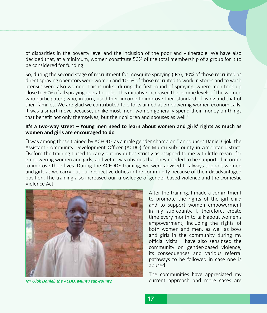of disparities in the poverty level and the inclusion of the poor and vulnerable. We have also decided that, at a minimum, women constitute 50% of the total membership of a group for it to be considered for funding.

So, during the second stage of recruitment for mosquito spraying (IRS), 40% of those recruited as direct spraying operators were women and 100% of those recruited to work in stores and to wash utensils were also women. This is unlike during the first round of spraying, where men took up close to 90% of all spraying operator jobs. This initiative increased the income levels of the women who participated; who, in turn, used their income to improve their standard of living and that of their families. We are glad we contributed to efforts aimed at empowering women economically. It was a smart move because, unlike most men, women generally spend their money on things that benefit not only themselves, but their children and spouses as well."

#### **It's a two-way street – Young men need to learn about women and girls' rights as much as women and girls are encouraged to do**

"I was among those trained by ACFODE as a male gender champion," announces Daniel Ojok, the Assistant Community Development Officer (ACDO) for Muntu sub-county in Amolatar district. "Before the training I used to carry out my duties strictly as assigned to me with little regard for empowering women and girls, and yet it was obvious that they needed to be supported in order to improve their lives. During the ACFODE training, we were advised to always support women and girls as we carry out our respective duties in the community because of their disadvantaged position. The training also increased our knowledge of gender-based violence and the Domestic Violence Act.



After the training, I made a commitment to promote the rights of the girl child and to support women empowerment in my sub-county. I, therefore, create time every month to talk about women's empowerment, including the rights of both women and men, as well as boys and girls in the community during my official visits. I have also sensitised the community on gender-based violence, its consequences and various referral pathways to be followed in case one is abused.

The communities have appreciated my *Mr Ojok Daniel, the ACDO, Muntu sub-county.* current approach and more cases are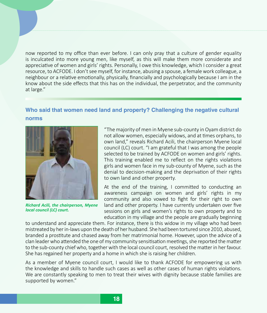now reported to my office than ever before. I can only pray that a culture of gender equality is inculcated into more young men, like myself, as this will make them more considerate and appreciative of women and girls' rights. Personally, I owe this knowledge, which I consider a great resource, to ACFODE. I don't see myself, for instance, abusing a spouse, a female work colleague, a neighbour or a relative emotionally, physically, financially and psychologically because I am in the know about the side effects that this has on the individual, the perpetrator, and the community at large."

## **Who said that women need land and property? Challenging the negative cultural norms**



*Richard Acili, the chairperson, Myene local council (LC) court.*

"The majority of men in Myene sub-county in Oyam district do not allow women, especially widows, and at times orphans, to own land," reveals Richard Acili, the chairperson Myene local council (LC) court. "I am grateful that I was among the people selected to be trained by ACFODE on women and girls' rights. This training enabled me to reflect on the rights violations girls and women face in my sub-county of Myene, such as the denial to decision-making and the deprivation of their rights to own land and other property.

At the end of the training, I committed to conducting an awareness campaign on women and girls' rights in my community and also vowed to fight for their right to own land and other property. I have currently undertaken over five sessions on girls and women's rights to own property and to education in my village and the people are gradually beginning

to understand and appreciate them. For instance, there is this widow in my village who had been mistreated by her in-laws upon the death of her husband. She had been tortured since 2010, abused, branded a prostitute and chased away from her matrimonial home. However, upon the advice of a clan leader who attended the one of my community sensitisation meetings, she reported the matter to the sub-county chief who, together with the local council court, resolved the matter in her favour. She has regained her property and a home in which she is raising her children.

As a member of Myene council court, I would like to thank ACFODE for empowering us with the knowledge and skills to handle such cases as well as other cases of human rights violations. We are constantly speaking to men to treat their wives with dignity because stable families are supported by women."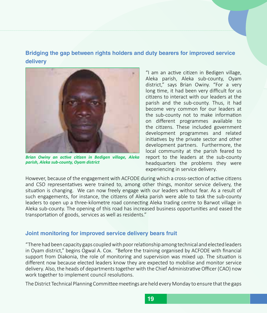## **Bridging the gap between rights holders and duty bearers for improved service delivery**



*Brian Owiny an active citizen in Bedigen village, Aleka parish, Aleka sub-county, Oyam district*

"I am an active citizen in Bedigen village, Aleka parish, Aleka sub-county, Oyam district," says Brian Owiny. "For a very long time, it had been very difficult for us citizens to interact with our leaders at the parish and the sub-county. Thus, it had become very common for our leaders at the sub-county not to make information on different programmes available to the citizens. These included government development programmes and related initiatives by the private sector and other development partners. Furthermore, the local community at the parish feared to report to the leaders at the sub-county headquarters the problems they were experiencing in service delivery.

However, because of the engagement with ACFODE during which a cross-section of active citizens and CSO representatives were trained to, among other things, monitor service delivery, the situation is changing. We can now freely engage with our leaders without fear. As a result of such engagements, for instance, the citizens of Aleka parish were able to task the sub-county leaders to open up a three-kilometre road connecting Aleka trading centre to Barwot village in Aleka sub-county. The opening of this road has increased business opportunities and eased the transportation of goods, services as well as residents."

#### **Joint monitoring for improved service delivery bears fruit**

"There had been capacity gaps coupled with poor relationship among technical and elected leaders in Oyam district," begins Ogwal A. Cox. "Before the training organised by ACFODE with financial support from Diakonia, the role of monitoring and supervision was mixed up. The situation is different now because elected leaders know they are expected to mobilise and monitor service delivery. Also, the heads of departments together with the Chief Administrative Officer (CAO) now work together to implement council resolutions.

The District Technical Planning Committee meetings are held every Monday to ensure that the gaps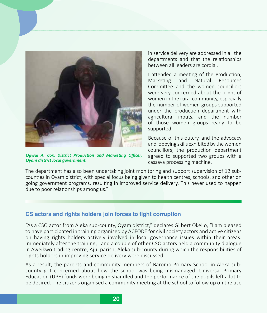

*Ogwal A. Cox, District Production and Marketing Officer, Oyam district local government.* 

in service delivery are addressed in all the departments and that the relationships between all leaders are cordial.

I attended a meeting of the Production,<br>Marketing and Natural Resources Natural Resources Committee and the women councillors were very concerned about the plight of women in the rural community, especially the number of women groups supported under the production department with agricultural inputs, and the number of those women groups ready to be supported.

Because of this outcry, and the advocacy and lobbying skills exhibited by the women councillors, the production department agreed to supported two groups with a cassava processing machine.

The department has also been undertaking joint monitoring and support supervision of 12 subcounties in Oyam district, with special focus being given to health centres, schools, and other on going government programs, resulting in improved service delivery. This never used to happen due to poor relationships among us."

#### **CS actors and rights holders join forces to fight corruption**

"As a CSO actor from Aleka sub-county, Oyam district," declares Gilbert Okello, "I am pleased to have participated in training organised by ACFODE for civil society actors and active citizens on having rights holders actively involved in local governance issues within their areas. Immediately after the training, I and a couple of other CSO actors held a community dialogue in Aweikwo trading centre, Ajul parish, Aleka sub-county during which the responsibilities of rights holders in improving service delivery were discussed.

As a result, the parents and community members of Baromo Primary School in Aleka subcounty got concerned about how the school was being mismanaged. Universal Primary Education (UPE) funds were being mishandled and the performance of the pupils left a lot to be desired. The citizens organised a community meeting at the school to follow up on the use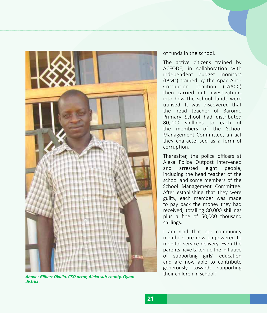

*district.*

of funds in the school.

The active citizens trained by ACFODE, in collaboration with independent budget monitors (IBMs) trained by the Apac Anti-Corruption Coalition (TAACC) then carried out investigations into how the school funds were utilised. It was discovered that the head teacher of Baromo Primary School had distributed 80,000 shillings to each of the members of the School Management Committee, an act they characterised as a form of corruption.

Thereafter, the police officers at Aleka Police Outpost intervened and arrested eight people, including the head teacher of the school and some members of the School Management Committee. After establishing that they were guilty, each member was made to pay back the money they had received, totalling 80,000 shillings plus a fine of 50,000 thousand shillings.

I am glad that our community members are now empowered to monitor service delivery. Even the parents have taken up the initiative of supporting girls' education and are now able to contribute generously towards supporting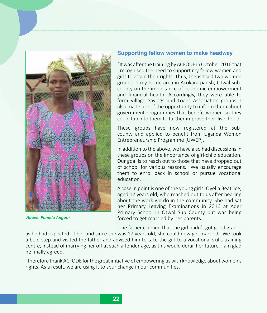

*Above: Pamela Angom*

#### **Supporting fellow women to make headway**

"It was after the training by ACFODE in October 2016 that I recognised the need to support my fellow women and girls to attain their rights. Thus, I sensitised two women groups in my home area in Acokara parish, Otwal subcounty on the importance of economic empowerment and financial health. Accordingly, they were able to form Village Savings and Loans Association groups. I also made use of the opportunity to inform them about government programmes that benefit women so they could tap into them to further improve their livelihood.

These groups have now registered at the subcounty and applied to benefit from Uganda Women Entrepreneurship Programme (UWEP).

In addition to the above, we have also had discussions in these groups on the importance of girl-child education. Our goal is to reach out to those that have dropped out of school for various reasons. We usually encourage them to enrol back in school or pursue vocational education.

A case in point is one of the young girls, Oyella Beatrice, aged 17 years old, who reached out to us after hearing about the work we do in the community. She had sat her Primary Leaving Examinations in 2016 at Ader Primary School in Otwal Sub County but was being forced to get married by her parents.

The father claimed that the girl hadn't got good grades

as he had expected of her and since she was 17 years old, she could now get married. We took a bold step and visited the father and advised him to take the girl to a vocational skills training centre, instead of marrying her off at such a tender age, as this would derail her future. I am glad he finally agreed.

I therefore thank ACFODE for the great initiative of empowering us with knowledge about women's rights. As a result, we are using it to spur change in our communities."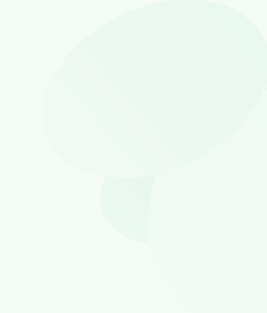